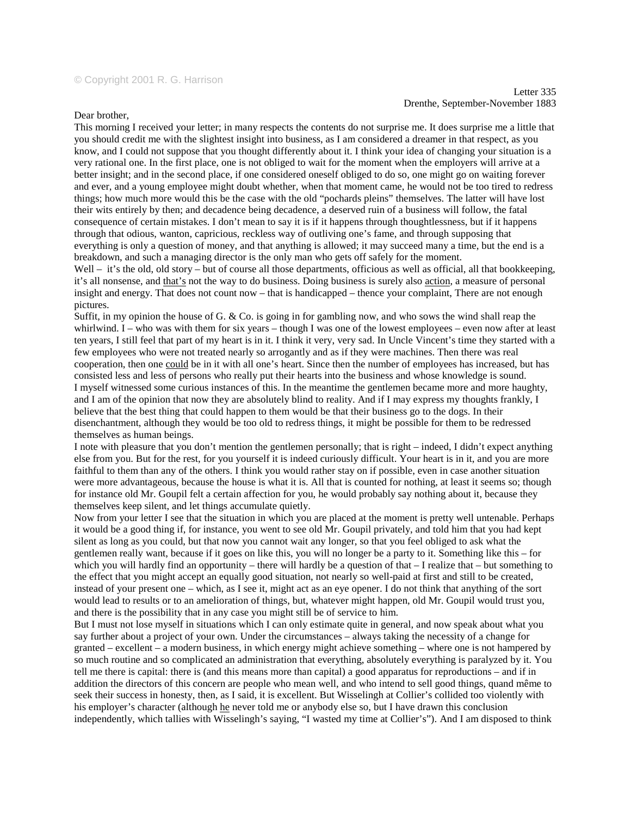Dear brother,

Letter 335 Drenthe, September-November 1883

This morning I received your letter; in many respects the contents do not surprise me. It does surprise me a little that you should credit me with the slightest insight into business, as I am considered a dreamer in that respect, as you know, and I could not suppose that you thought differently about it. I think your idea of changing your situation is a very rational one. In the first place, one is not obliged to wait for the moment when the employers will arrive at a better insight; and in the second place, if one considered oneself obliged to do so, one might go on waiting forever and ever, and a young employee might doubt whether, when that moment came, he would not be too tired to redress things; how much more would this be the case with the old "pochards pleins" themselves. The latter will have lost their wits entirely by then; and decadence being decadence, a deserved ruin of a business will follow, the fatal consequence of certain mistakes. I don't mean to say it is if it happens through thoughtlessness, but if it happens through that odious, wanton, capricious, reckless way of outliving one's fame, and through supposing that everything is only a question of money, and that anything is allowed; it may succeed many a time, but the end is a breakdown, and such a managing director is the only man who gets off safely for the moment.

Well – it's the old, old story – but of course all those departments, officious as well as official, all that bookkeeping, it's all nonsense, and that's not the way to do business. Doing business is surely also action*,* a measure of personal insight and energy. That does not count now – that is handicapped – thence your complaint, There are not enough pictures.

Suffit, in my opinion the house of G. & Co. is going in for gambling now, and who sows the wind shall reap the whirlwind. I – who was with them for six years – though I was one of the lowest employees – even now after at least ten years, I still feel that part of my heart is in it. I think it very, very sad. In Uncle Vincent's time they started with a few employees who were not treated nearly so arrogantly and as if they were machines. Then there was real cooperation, then one could be in it with all one's heart. Since then the number of employees has increased, but has consisted less and less of persons who really put their hearts into the business and whose knowledge is sound. I myself witnessed some curious instances of this. In the meantime the gentlemen became more and more haughty, and I am of the opinion that now they are absolutely blind to reality. And if I may express my thoughts frankly, I believe that the best thing that could happen to them would be that their business go to the dogs. In their disenchantment, although they would be too old to redress things, it might be possible for them to be redressed themselves as human beings.

I note with pleasure that you don't mention the gentlemen personally; that is right – indeed, I didn't expect anything else from you. But for the rest, for you yourself it is indeed curiously difficult. Your heart is in it, and you are more faithful to them than any of the others. I think you would rather stay on if possible, even in case another situation were more advantageous, because the house is what it is. All that is counted for nothing, at least it seems so; though for instance old Mr. Goupil felt a certain affection for you, he would probably say nothing about it, because they themselves keep silent, and let things accumulate quietly.

Now from your letter I see that the situation in which you are placed at the moment is pretty well untenable. Perhaps it would be a good thing if, for instance, you went to see old Mr. Goupil privately, and told him that you had kept silent as long as you could, but that now you cannot wait any longer, so that you feel obliged to ask what the gentlemen really want, because if it goes on like this, you will no longer be a party to it. Something like this – for which you will hardly find an opportunity – there will hardly be a question of that  $- I$  realize that  $-$  but something to the effect that you might accept an equally good situation, not nearly so well-paid at first and still to be created, instead of your present one – which, as I see it, might act as an eye opener. I do not think that anything of the sort would lead to results or to an amelioration of things, but, whatever might happen, old Mr. Goupil would trust you, and there is the possibility that in any case you might still be of service to him.

But I must not lose myself in situations which I can only estimate quite in general, and now speak about what you say further about a project of your own. Under the circumstances – always taking the necessity of a change for granted – excellent – a modern business, in which energy might achieve something – where one is not hampered by so much routine and so complicated an administration that everything, absolutely everything is paralyzed by it. You tell me there is capital: there is (and this means more than capital) a good apparatus for reproductions – and if in addition the directors of this concern are people who mean well, and who intend to sell good things, quand même to seek their success in honesty, then, as I said, it is excellent. But Wisselingh at Collier's collided too violently with his employer's character (although he never told me or anybody else so, but I have drawn this conclusion independently, which tallies with Wisselingh's saying, "I wasted my time at Collier's"). And I am disposed to think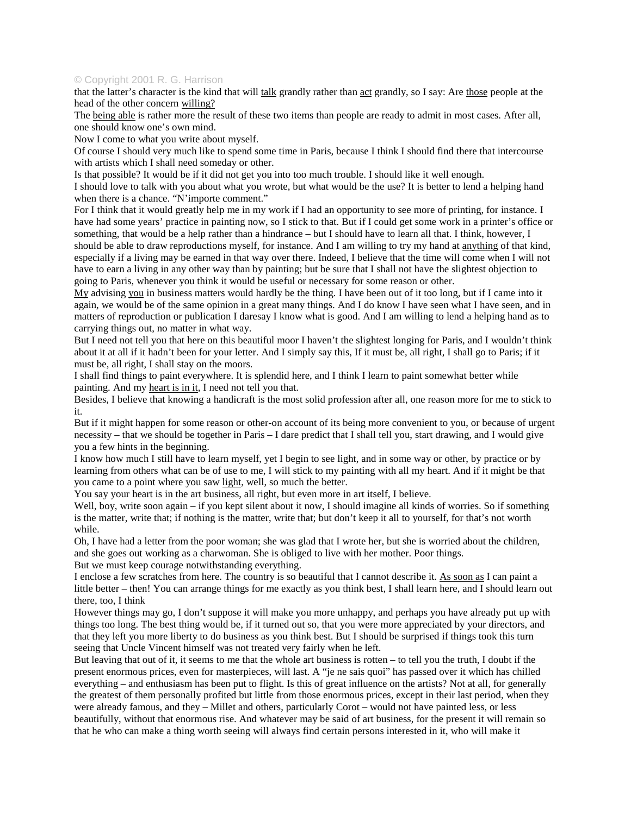## © Copyright 2001 R. G. Harrison

that the latter's character is the kind that will talk grandly rather than act grandly, so I say: Are those people at the head of the other concern willing?

The being able is rather more the result of these two items than people are ready to admit in most cases. After all, one should know one's own mind.

Now I come to what you write about myself.

Of course I should very much like to spend some time in Paris, because I think I should find there that intercourse with artists which I shall need someday or other.

Is that possible? It would be if it did not get you into too much trouble. I should like it well enough.

I should love to talk with you about what you wrote, but what would be the use? It is better to lend a helping hand when there is a chance. "N'importe comment."

For I think that it would greatly help me in my work if I had an opportunity to see more of printing, for instance. I have had some years' practice in painting now, so I stick to that. But if I could get some work in a printer's office or something, that would be a help rather than a hindrance – but I should have to learn all that. I think, however, I should be able to draw reproductions myself, for instance. And I am willing to try my hand at anything of that kind, especially if a living may be earned in that way over there. Indeed, I believe that the time will come when I will not have to earn a living in any other way than by painting; but be sure that I shall not have the slightest objection to going to Paris, whenever you think it would be useful or necessary for some reason or other.

My advising you in business matters would hardly be the thing. I have been out of it too long, but if I came into it again, we would be of the same opinion in a great many things. And I do know I have seen what I have seen, and in matters of reproduction or publication I daresay I know what is good. And I am willing to lend a helping hand as to carrying things out, no matter in what way.

But I need not tell you that here on this beautiful moor I haven't the slightest longing for Paris, and I wouldn't think about it at all if it hadn't been for your letter. And I simply say this, If it must be, all right, I shall go to Paris; if it must be, all right, I shall stay on the moors.

I shall find things to paint everywhere. It is splendid here, and I think I learn to paint somewhat better while painting. And my heart is in it, I need not tell you that.

Besides, I believe that knowing a handicraft is the most solid profession after all, one reason more for me to stick to it.

But if it might happen for some reason or other-on account of its being more convenient to you, or because of urgent necessity – that we should be together in Paris – I dare predict that I shall tell you, start drawing, and I would give you a few hints in the beginning.

I know how much I still have to learn myself, yet I begin to see light, and in some way or other, by practice or by learning from others what can be of use to me, I will stick to my painting with all my heart. And if it might be that you came to a point where you saw light, well, so much the better.

You say your heart is in the art business, all right, but even more in art itself, I believe.

Well, boy, write soon again – if you kept silent about it now, I should imagine all kinds of worries. So if something is the matter, write that; if nothing is the matter, write that; but don't keep it all to yourself, for that's not worth while.

Oh, I have had a letter from the poor woman; she was glad that I wrote her, but she is worried about the children, and she goes out working as a charwoman. She is obliged to live with her mother. Poor things.

But we must keep courage notwithstanding everything.

I enclose a few scratches from here. The country is so beautiful that I cannot describe it. As soon as I can paint a little better – then! You can arrange things for me exactly as you think best, I shall learn here, and I should learn out there, too, I think

However things may go, I don't suppose it will make you more unhappy, and perhaps you have already put up with things too long. The best thing would be, if it turned out so, that you were more appreciated by your directors, and that they left you more liberty to do business as you think best. But I should be surprised if things took this turn seeing that Uncle Vincent himself was not treated very fairly when he left.

But leaving that out of it, it seems to me that the whole art business is rotten – to tell you the truth, I doubt if the present enormous prices, even for masterpieces, will last. A "je ne sais quoi" has passed over it which has chilled everything – and enthusiasm has been put to flight. Is this of great influence on the artists? Not at all, for generally the greatest of them personally profited but little from those enormous prices, except in their last period, when they were already famous, and they – Millet and others, particularly Corot – would not have painted less, or less beautifully, without that enormous rise. And whatever may be said of art business, for the present it will remain so that he who can make a thing worth seeing will always find certain persons interested in it, who will make it